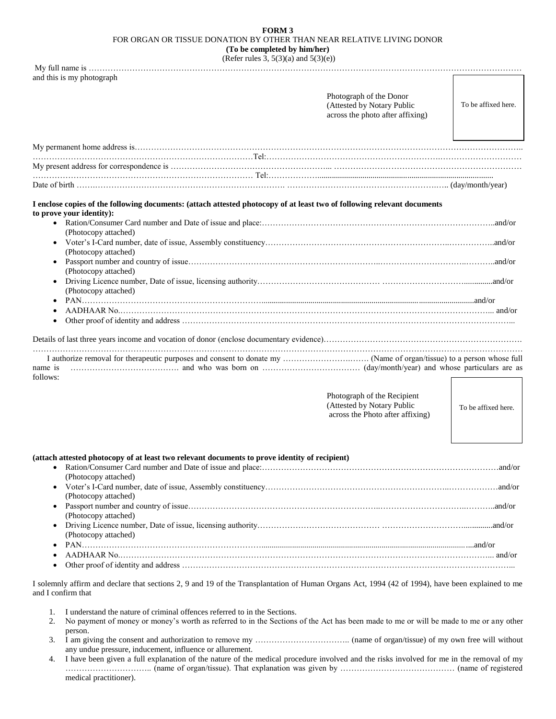## **FORM 3** FOR ORGAN OR TISSUE DONATION BY OTHER THAN NEAR RELATIVE LIVING DONOR **(To be completed by him/her)**

(Refer rules 3,  $5(3)(a)$  and  $5(3)(e)$ )

| (Refer rules $\partial$ , $\partial$ ( $\partial$ )(a) and $\partial$ ( $\partial$ )( $\nabla$ ))<br>and this is my photograph                                                                                                                                                                              |                                                                                                                                                                                                                                                                                                                     |                     |
|-------------------------------------------------------------------------------------------------------------------------------------------------------------------------------------------------------------------------------------------------------------------------------------------------------------|---------------------------------------------------------------------------------------------------------------------------------------------------------------------------------------------------------------------------------------------------------------------------------------------------------------------|---------------------|
|                                                                                                                                                                                                                                                                                                             | Photograph of the Donor<br>(Attested by Notary Public<br>across the photo after affixing)                                                                                                                                                                                                                           | To be affixed here. |
|                                                                                                                                                                                                                                                                                                             |                                                                                                                                                                                                                                                                                                                     |                     |
|                                                                                                                                                                                                                                                                                                             |                                                                                                                                                                                                                                                                                                                     |                     |
|                                                                                                                                                                                                                                                                                                             |                                                                                                                                                                                                                                                                                                                     |                     |
| I enclose copies of the following documents: (attach attested photocopy of at least two of following relevant documents<br>to prove your identity):<br>(Photocopy attached)<br>(Photocopy attached)<br>(Photocopy attached)<br>(Photocopy attached)<br>name is<br>follows:                                  |                                                                                                                                                                                                                                                                                                                     |                     |
|                                                                                                                                                                                                                                                                                                             | Photograph of the Recipient<br>(Attested by Notary Public<br>across the Photo after affixing)                                                                                                                                                                                                                       | To be affixed here. |
| (attach attested photocopy of at least two relevant documents to prove identity of recipient)<br>(Photocopy attached)<br>(Photocopy attached)<br>(Photocopy attached)<br>٠<br>(Photocopy attached)<br>٠<br>٠                                                                                                |                                                                                                                                                                                                                                                                                                                     |                     |
| I solemnly affirm and declare that sections 2, 9 and 19 of the Transplantation of Human Organs Act, 1994 (42 of 1994), have been explained to me<br>and I confirm that                                                                                                                                      |                                                                                                                                                                                                                                                                                                                     |                     |
| I understand the nature of criminal offences referred to in the Sections.<br>1.<br>No payment of money or money's worth as referred to in the Sections of the Act has been made to me or will be made to me or any other<br>2.<br>person.<br>3.<br>any undue pressure, inducement, influence or allurement. | $\frac{1}{2}$ $\frac{1}{2}$ $\frac{1}{2}$ $\frac{1}{2}$ $\frac{1}{2}$ $\frac{1}{2}$ $\frac{1}{2}$ $\frac{1}{2}$ $\frac{1}{2}$ $\frac{1}{2}$ $\frac{1}{2}$ $\frac{1}{2}$ $\frac{1}{2}$ $\frac{1}{2}$ $\frac{1}{2}$ $\frac{1}{2}$ $\frac{1}{2}$ $\frac{1}{2}$ $\frac{1}{2}$ $\frac{1}{2}$ $\frac{1}{2}$ $\frac{1}{2}$ |                     |

4. I have been given a full explanation of the nature of the medical procedure involved and the risks involved for me in the removal of my ………………………….. (name of organ/tissue). That explanation was given by …………………………………… (name of registered medical practitioner).